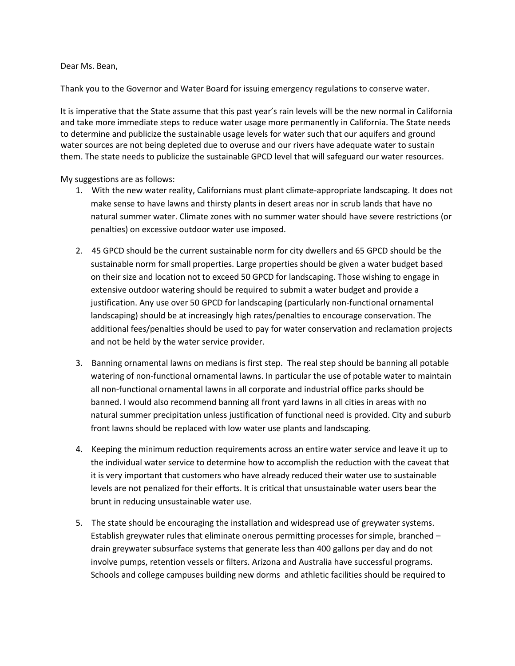Dear Ms. Bean,

Thank you to the Governor and Water Board for issuing emergency regulations to conserve water.

It is imperative that the State assume that this past year's rain levels will be the new normal in California and take more immediate steps to reduce water usage more permanently in California. The State needs to determine and publicize the sustainable usage levels for water such that our aquifers and ground water sources are not being depleted due to overuse and our rivers have adequate water to sustain them. The state needs to publicize the sustainable GPCD level that will safeguard our water resources.

My suggestions are as follows:

- 1. With the new water reality, Californians must plant climate-appropriate landscaping. It does not make sense to have lawns and thirsty plants in desert areas nor in scrub lands that have no natural summer water. Climate zones with no summer water should have severe restrictions (or penalties) on excessive outdoor water use imposed.
- 2. 45 GPCD should be the current sustainable norm for city dwellers and 65 GPCD should be the sustainable norm for small properties. Large properties should be given a water budget based on their size and location not to exceed 50 GPCD for landscaping. Those wishing to engage in extensive outdoor watering should be required to submit a water budget and provide a justification. Any use over 50 GPCD for landscaping (particularly non-functional ornamental landscaping) should be at increasingly high rates/penalties to encourage conservation. The additional fees/penalties should be used to pay for water conservation and reclamation projects and not be held by the water service provider.
- 3. Banning ornamental lawns on medians is first step. The real step should be banning all potable watering of non-functional ornamental lawns. In particular the use of potable water to maintain all non-functional ornamental lawns in all corporate and industrial office parks should be banned. I would also recommend banning all front yard lawns in all cities in areas with no natural summer precipitation unless justification of functional need is provided. City and suburb front lawns should be replaced with low water use plants and landscaping.
- 4. Keeping the minimum reduction requirements across an entire water service and leave it up to the individual water service to determine how to accomplish the reduction with the caveat that it is very important that customers who have already reduced their water use to sustainable levels are not penalized for their efforts. It is critical that unsustainable water users bear the brunt in reducing unsustainable water use.
- 5. The state should be encouraging the installation and widespread use of greywater systems. Establish greywater rules that eliminate onerous permitting processes for simple, branched – drain greywater subsurface systems that generate less than 400 gallons per day and do not involve pumps, retention vessels or filters. Arizona and Australia have successful programs. Schools and college campuses building new dorms and athletic facilities should be required to